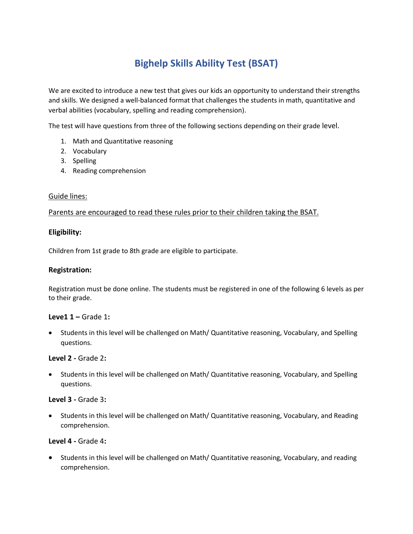# **Bighelp Skills Ability Test (BSAT)**

We are excited to introduce a new test that gives our kids an opportunity to understand their strengths and skills. We designed a well-balanced format that challenges the students in math, quantitative and verbal abilities (vocabulary, spelling and reading comprehension).

The test will have questions from three of the following sections depending on their grade level.

- 1. Math and Quantitative reasoning
- 2. Vocabulary
- 3. Spelling
- 4. Reading comprehension

#### Guide lines:

#### Parents are encouraged to read these rules prior to their children taking the BSAT.

#### **Eligibility:**

Children from 1st grade to 8th grade are eligible to participate.

#### **Registration:**

Registration must be done online. The students must be registered in one of the following 6 levels as per to their grade.

#### **Leve1 1 –** Grade 1**:**

 Students in this level will be challenged on Math/ Quantitative reasoning, Vocabulary, and Spelling questions.

#### **Level 2 -** Grade 2**:**

 Students in this level will be challenged on Math/ Quantitative reasoning, Vocabulary, and Spelling questions.

#### **Level 3 -** Grade 3**:**

 Students in this level will be challenged on Math/ Quantitative reasoning, Vocabulary, and Reading comprehension.

#### **Level 4 -** Grade 4**:**

 Students in this level will be challenged on Math/ Quantitative reasoning, Vocabulary, and reading comprehension.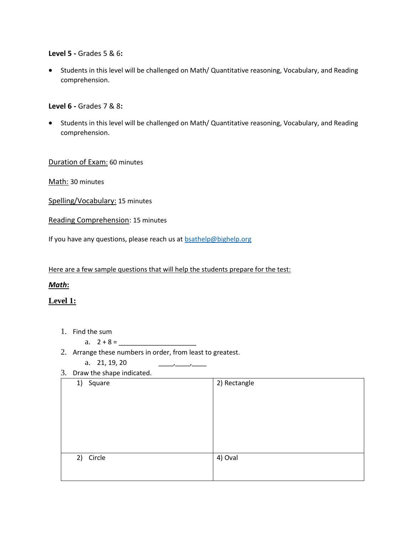#### **Level 5 -** Grades 5 & 6**:**

 Students in this level will be challenged on Math/ Quantitative reasoning, Vocabulary, and Reading comprehension.

#### **Level 6 -** Grades 7 & 8**:**

 Students in this level will be challenged on Math/ Quantitative reasoning, Vocabulary, and Reading comprehension.

#### Duration of Exam: 60 minutes

Math: 30 minutes

Spelling/Vocabulary: 15 minutes

Reading Comprehension: 15 minutes

If you have any questions, please reach us a[t bsathelp@bighelp.org](mailto:bsathelp@bighelp.org)

Here are a few sample questions that will help the students prepare for the test:

## *Math***:**

## **Level 1:**

- 1. Find the sum
	- a. 2 + 8 = \_\_\_\_\_\_\_\_\_\_\_\_\_\_\_\_\_\_\_\_\_
- 2. Arrange these numbers in order, from least to greatest.
	- a. 21, 19, 20
- 3. Draw the shape indicated.

| 1)<br>Square | 2) Rectangle |
|--------------|--------------|
|              |              |
|              |              |
|              |              |
|              |              |
|              |              |
|              |              |
| 2) Circle    | 4) Oval      |
|              |              |
|              |              |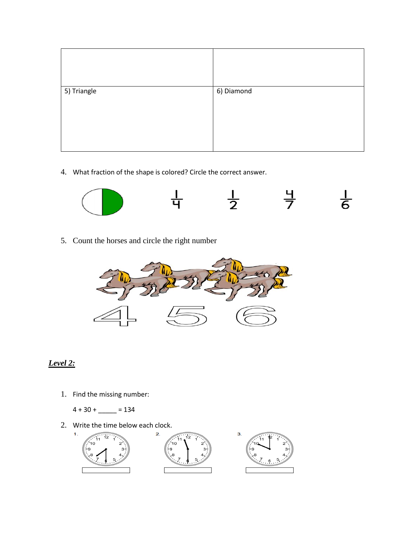| 5) Triangle | 6) Diamond |
|-------------|------------|
|             |            |

4. What fraction of the shape is colored? Circle the correct answer.



5. Count the horses and circle the right number



# *Level 2:*

- 1. Find the missing number:
	- $4 + 30 + \_ = 134$
- 2. Write the time below each clock.

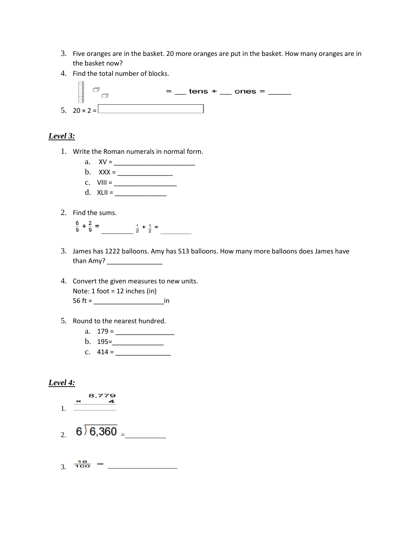- 3. Five oranges are in the basket. 20 more oranges are put in the basket. How many oranges are in the basket now?
- 4. Find the total number of blocks.



# *Level 3:*

- 1. Write the Roman numerals in normal form.
	- a. XV = \_\_\_\_\_\_\_\_\_\_\_\_\_\_\_\_\_\_\_\_\_\_ b. XXX = \_\_\_\_\_\_\_\_\_\_\_\_\_\_\_ c.  $VIII = \_$
	- d.  $XLII = \_$
- 2. Find the sums.
	- $\frac{6}{9} + \frac{2}{9} =$   $\frac{1}{2} + \frac{1}{2} =$
- 3. James has 1222 balloons. Amy has 513 balloons. How many more balloons does James have than Amy? \_\_\_\_\_\_\_\_\_\_\_\_\_\_\_
- 4. Convert the given measures to new units. Note: 1 foot = 12 inches (in) 56 ft = \_\_\_\_\_\_\_\_\_\_\_\_\_\_\_\_\_\_\_in
- 5. Round to the nearest hundred.
	- a. 179 = \_\_\_\_\_\_\_\_\_\_\_\_\_\_\_\_
	- $b. 195 =$
	- c.  $414 =$

## *Level 4:*



$$
3. \ \frac{18}{100} = \_
$$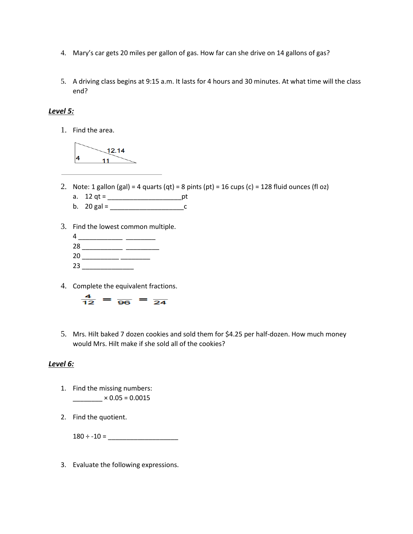- 4. Mary's car gets 20 miles per gallon of gas. How far can she drive on 14 gallons of gas?
- 5. A driving class begins at 9:15 a.m. It lasts for 4 hours and 30 minutes. At what time will the class end?

## *Level 5:*

1. Find the area.



- 2. Note: 1 gallon (gal) = 4 quarts (qt) = 8 pints (pt) = 16 cups (c) = 128 fluid ounces (fl oz)
	- a. 12 qt = \_\_\_\_\_\_\_\_\_\_\_\_\_\_\_\_\_\_\_\_pt
	- b. 20 gal = \_\_\_\_\_\_\_\_\_\_\_\_\_\_\_\_\_\_\_\_c
- 3. Find the lowest common multiple.
	- 4 \_\_\_\_\_\_\_\_\_\_\_\_ \_\_\_\_\_\_\_\_ 28 \_\_\_\_\_\_\_\_\_\_\_\_\_\_ \_\_\_\_\_\_\_\_\_\_\_ 20 \_\_\_\_\_\_\_\_\_ \_\_\_\_\_\_\_\_\_ 23 \_\_\_\_\_\_\_\_\_\_\_\_\_\_
- 4. Complete the equivalent fractions.



5. Mrs. Hilt baked 7 dozen cookies and sold them for \$4.25 per half-dozen. How much money would Mrs. Hilt make if she sold all of the cookies?

#### *Level 6:*

- 1. Find the missing numbers:  $\frac{1}{2}$  × 0.05 = 0.0015
- 2. Find the quotient.

 $180 \div -10 =$ 

3. Evaluate the following expressions.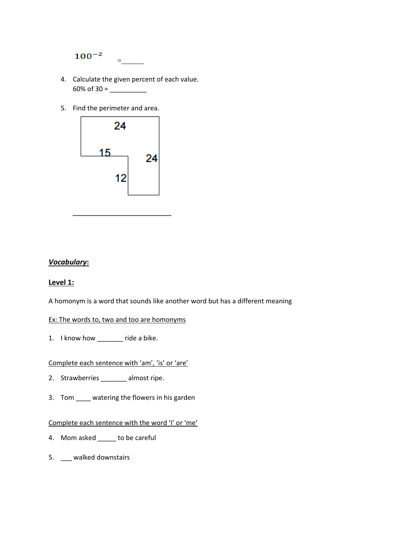

- 4. Calculate the given percent of each value. 60% of 30 =  $\frac{20}{20}$
- 5. Find the perimeter and area.



## *Vocabulary***:**

#### **Level 1:**

A homonym is a word that sounds like another word but has a different meaning

#### Ex: The words to, two and too are homonyms

1. I know how \_\_\_\_\_\_\_ ride a bike.

Complete each sentence with 'am', 'is' or 'are'

- 2. Strawberries \_\_\_\_\_\_\_ almost ripe.
- 3. Tom watering the flowers in his garden

## Complete each sentence with the word 'I' or 'me'

- 4. Mom asked \_\_\_\_\_ to be careful
- 5. \_\_\_ walked downstairs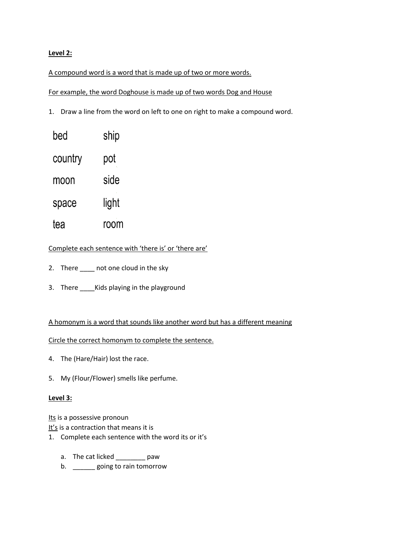## **Level 2:**

#### A compound word is a word that is made up of two or more words.

For example, the word Doghouse is made up of two words Dog and House

1. Draw a line from the word on left to one on right to make a compound word.

| bed     | ship  |
|---------|-------|
| country | pot   |
| moon    | side  |
| space   | light |
| tea     | room  |

## Complete each sentence with 'there is' or 'there are'

- 2. There \_\_\_\_\_ not one cloud in the sky
- 3. There Kids playing in the playground

#### A homonym is a word that sounds like another word but has a different meaning

#### Circle the correct homonym to complete the sentence.

- 4. The (Hare/Hair) lost the race.
- 5. My (Flour/Flower) smells like perfume.

#### **Level 3:**

Its is a possessive pronoun

It's is a contraction that means it is

- 1. Complete each sentence with the word its or it's
	- a. The cat licked \_\_\_\_\_\_\_\_ paw
	- b. \_\_\_\_\_\_\_ going to rain tomorrow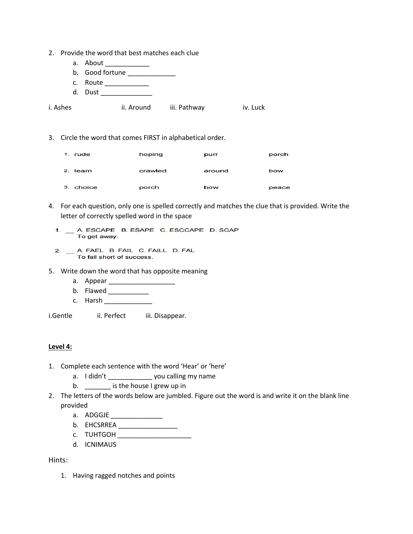- 2. Provide the word that best matches each clue
	- a. About \_\_\_\_\_\_\_\_\_\_\_\_\_\_
	- b. Good fortune \_\_\_\_\_\_\_\_\_\_\_\_\_\_\_
	- c. Route \_\_\_\_\_\_\_\_\_\_\_\_
	- d. Dust \_\_\_\_\_\_\_\_\_\_\_\_\_\_
- i. Ashes ii. Around iii. Pathway iv. Luck
- 3. Circle the word that comes FIRST in alphabetical order.

| 1. rude      | hoping  | purr   | porch |
|--------------|---------|--------|-------|
| 2.<br>learn  | crawled | around | bow   |
| 3.<br>choice | porch   | bow    | peace |

- 4. For each question, only one is spelled correctly and matches the clue that is provided. Write the letter of correctly spelled word in the space
	- 1. \_ A. ESCAPE B. ESAPE C. ESCCAPE D. SCAP To get away.
	- 2. \_ A. FAEL B. FAIL C. FAILL D. FAL To fall short of success.
- 5. Write down the word that has opposite meaning
	- a. Appear \_\_\_\_\_\_\_\_\_\_\_\_\_\_\_\_\_\_
	- b. Flawed \_\_\_\_\_\_\_\_\_\_\_\_\_
	- c. Harsh \_\_\_\_\_\_\_\_\_\_\_\_\_
- i.Gentle ii. Perfect iii. Disappear.

#### **Level 4:**

- 1. Complete each sentence with the word 'Hear' or 'here'
	- a. I didn't vou calling my name
	- b. \_\_\_\_\_\_\_\_\_ is the house I grew up in
- 2. The letters of the words below are jumbled. Figure out the word is and write it on the blank line provided
	- a. ADGGJE \_\_\_\_\_\_\_\_\_\_\_\_\_\_
	- b. EHCSRREA \_\_\_\_\_\_\_\_\_\_\_\_\_\_\_\_
	- c. TUHTGOH \_\_\_\_\_\_\_\_\_\_\_\_\_\_\_\_\_\_\_\_
	- d. ICNIMAUS

Hints:

1. Having ragged notches and points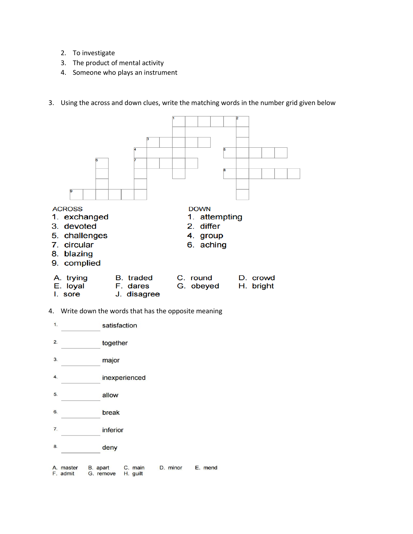- 2. To investigate
- 3. The product of mental activity
- 4. Someone who plays an instrument
- 3. Using the across and down clues, write the matching words in the number grid given below



- I. sore J. disagree
- 4. Write down the words that has the opposite meaning

| $\mathbf{1}$              |                       |                       | satisfaction        |          |         |
|---------------------------|-----------------------|-----------------------|---------------------|----------|---------|
| 2.                        |                       | together              |                     |          |         |
| 3.                        |                       | major                 |                     |          |         |
| $\overline{\mathbf{4}}$ . |                       |                       | inexperienced       |          |         |
| 5.                        |                       | allow                 |                     |          |         |
| 6.                        |                       | break                 |                     |          |         |
| 7.                        |                       | inferior              |                     |          |         |
| 8.                        |                       | deny                  |                     |          |         |
|                           | A. master<br>F. admit | B. apart<br>G. remove | C. main<br>H. guilt | D. minor | E. mend |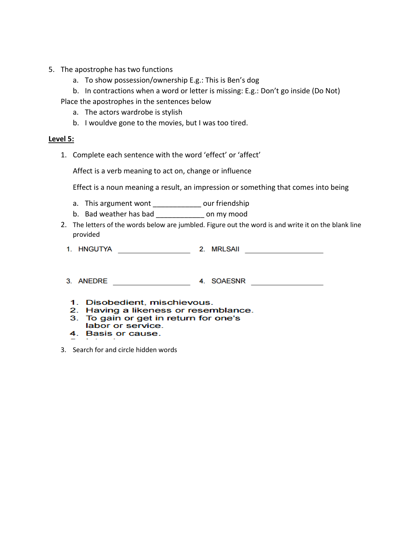- 5. The apostrophe has two functions
	- a. To show possession/ownership E.g.: This is Ben's dog
	- b. In contractions when a word or letter is missing: E.g.: Don't go inside (Do Not)

Place the apostrophes in the sentences below

- a. The actors wardrobe is stylish
- b. I wouldve gone to the movies, but I was too tired.

#### **Level 5:**

1. Complete each sentence with the word 'effect' or 'affect'

Affect is a verb meaning to act on, change or influence

Effect is a noun meaning a result, an impression or something that comes into being

- a. This argument wont \_\_\_\_\_\_\_\_\_\_\_\_\_\_ our friendship
- b. Bad weather has bad \_\_\_\_\_\_\_\_\_\_\_\_ on my mood
- 2. The letters of the words below are jumbled. Figure out the word is and write it on the blank line provided

| 1. HNGUTYA | 2. MRLSAII |
|------------|------------|
|            |            |

3. ANEDRE 4. SOAESNR

- 1. Disobedient, mischievous.
- 2. Having a likeness or resemblance.
- 3. To gain or get in return for one's labor or service.
- 4. Basis or cause.
- 3. Search for and circle hidden words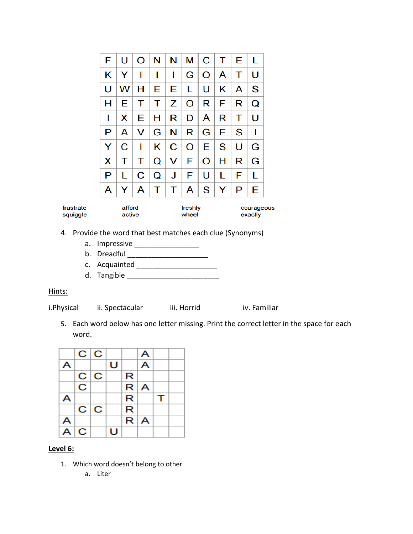|                       | F | U                | $\circ$ | N | N | М                | C | т | Е | L                     |  |
|-----------------------|---|------------------|---------|---|---|------------------|---|---|---|-----------------------|--|
|                       | κ | Y                | ı       | ı | ı | G                | O | A | T | U                     |  |
|                       | U | w                | н       | Е | Е | L                | U | Κ | A | S                     |  |
|                       | н | Е                | т       | т | z | O                | R | F | R | Q                     |  |
|                       | I | x                | Е       | н | R | D                | A | R | т | U                     |  |
|                       | P | A                | V       | G | N | R                | G | E | S | ı                     |  |
|                       | Y | С                | ı       | Κ | C | O                | Е | S | U | G                     |  |
|                       | х | т                | т       | Q | v | F                | O | н | R | G                     |  |
|                       | P | L                | C       | Q | J | F                | U | L | F | L                     |  |
|                       | A | Y                | A       | Т | т | A                | S | Y | P | Е                     |  |
| frustrate<br>squiggle |   | afford<br>active |         |   |   | freshly<br>wheel |   |   |   | courageous<br>exactly |  |

- 4. Provide the word that best matches each clue (Synonyms)
	- a. Impressive \_\_\_\_\_\_\_\_\_\_\_\_\_\_\_\_
	- b. Dreadful \_\_\_\_\_\_\_\_\_\_\_\_\_\_\_\_\_\_\_\_
	- c. Acquainted \_\_\_\_\_\_\_\_\_\_\_\_\_\_\_\_\_\_\_\_
	- d. Tangible \_\_\_\_\_\_\_\_\_\_\_\_\_\_\_\_\_\_\_\_\_\_\_

## Hints:

i.Physical ii. Spectacular iii. Horrid iv. Familiar

5. Each word below has one letter missing. Print the correct letter in the space for each word.



## **Level 6:**

- 1. Which word doesn't belong to other
	- a. Liter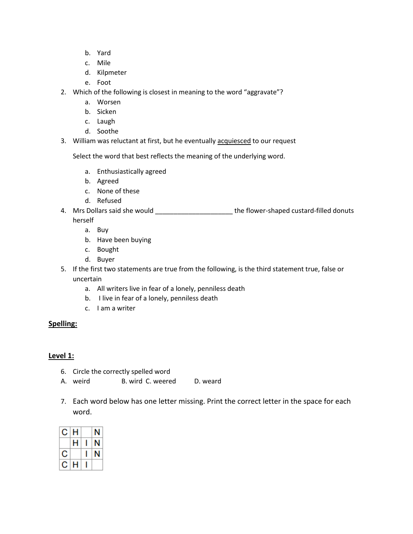- b. Yard
- c. Mile
- d. Kilpmeter
- e. Foot
- 2. Which of the following is closest in meaning to the word "aggravate"?
	- a. Worsen
	- b. Sicken
	- c. Laugh
	- d. Soothe
- 3. William was reluctant at first, but he eventually acquiesced to our request

Select the word that best reflects the meaning of the underlying word.

- a. Enthusiastically agreed
- b. Agreed
- c. None of these
- d. Refused
- 4. Mrs Dollars said she would \_\_\_\_\_\_\_\_\_\_\_\_\_\_\_\_\_\_\_\_\_\_\_\_\_\_the flower-shaped custard-filled donuts herself
	- a. Buy
	- b. Have been buying
	- c. Bought
	- d. Buyer
- 5. If the first two statements are true from the following, is the third statement true, false or uncertain
	- a. All writers live in fear of a lonely, penniless death
	- b. I live in fear of a lonely, penniless death
	- c. I am a writer

## **Spelling:**

# **Level 1:**

- 6. Circle the correctly spelled word
- A. weird B. wird C. weered D. weard
- 7. Each word below has one letter missing. Print the correct letter in the space for each word.

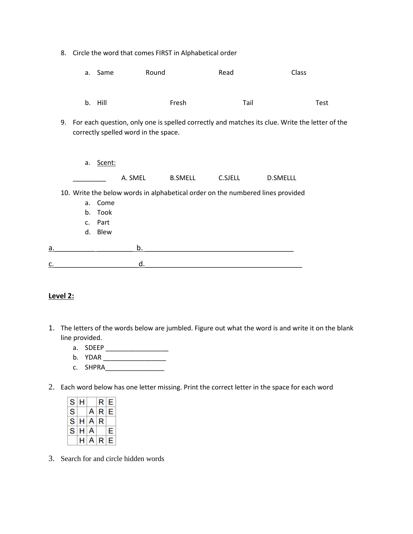|    |    |          |                                    |                                      | 8. Circle the word that comes FIRST in Alphabetical order |         |                                                                                                |      |
|----|----|----------|------------------------------------|--------------------------------------|-----------------------------------------------------------|---------|------------------------------------------------------------------------------------------------|------|
|    |    |          | a. Same                            | Round                                |                                                           | Read    | Class                                                                                          |      |
|    |    |          | b. Hill                            |                                      | Fresh                                                     | Tail    |                                                                                                | Test |
|    | 9. |          |                                    | correctly spelled word in the space. |                                                           |         | For each question, only one is spelled correctly and matches its clue. Write the letter of the |      |
|    |    | a.       | Scent:                             | A. SMEL                              | <b>B.SMELL</b>                                            | C.SJELL | <b>D.SMELLL</b>                                                                                |      |
|    |    | a.<br>b. | Come<br>Took<br>c. Part<br>d. Blew |                                      |                                                           |         | 10. Write the below words in alphabetical order on the numbered lines provided                 |      |
| a. |    |          |                                    | b.                                   |                                                           |         |                                                                                                |      |
| c. |    |          |                                    | d.                                   |                                                           |         |                                                                                                |      |

## **Level 2:**

- 1. The letters of the words below are jumbled. Figure out what the word is and write it on the blank line provided.
	- a. SDEEP \_\_\_\_\_\_\_\_\_\_\_\_\_\_\_\_\_
	- b. YDAR \_\_\_\_\_\_\_\_\_\_\_\_\_\_\_\_\_\_\_\_\_\_\_\_
	- c. SHPRA\_\_\_\_\_\_\_\_\_\_\_\_\_\_\_\_
- 2. Each word below has one letter missing. Print the correct letter in the space for each word

|     | S/H |                 | R E     |   |  |
|-----|-----|-----------------|---------|---|--|
| S l |     |                 | A R E   |   |  |
|     |     | $S$ $H$ $A$ $R$ |         |   |  |
|     |     | S H A           |         | E |  |
|     |     |                 | H[A R]E |   |  |

3. Search for and circle hidden words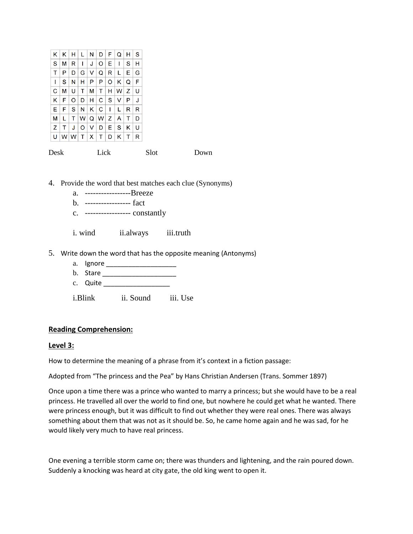| κ | Κ | н   | L   | N  | $\mathsf{D}$ | F | Q              | н | S |
|---|---|-----|-----|----|--------------|---|----------------|---|---|
| S | М | R   | ı   | J  | O            | Е | ı              | S | н |
| т | P | D   | G   | V  | Q            | R | L              | E | G |
| I | S | N   | н   | P  | P            | O | κ              | Q | F |
| C | М | U   | т   | М  | т            | н | W <sub>1</sub> | z | U |
| κ | F | O   | D   | н  | C            | S | v              | P | J |
| E | F | S   | N   | ΚI | $\mathbf C$  | 1 | L              | R | R |
| м | L | т   | W l |    | Q W Z        |   | A              | т | D |
| z | т | J   | O   | v  | D            | Е | S              | κ | U |
| U |   | W W | т   | X. | т            | D | κ              | т | R |

Desk Lick Slot Down

4. Provide the word that best matches each clue (Synonyms)

- a. -----------------Breeze
- b. ----------------- fact
- c. ----------------- constantly

i. wind ii.always iii.truth

- 5. Write down the word that has the opposite meaning (Antonyms)
	- a. Ignore \_\_\_\_\_\_\_\_\_\_\_\_\_\_\_\_\_\_\_
	- b. Stare \_\_\_\_\_\_\_\_\_\_\_\_\_\_\_\_\_\_\_\_
	- c. Quite
	- i.Blink ii. Sound iii. Use

#### **Reading Comprehension:**

#### **Level 3:**

How to determine the meaning of a phrase from it's context in a fiction passage:

Adopted from "The princess and the Pea" by Hans Christian Andersen (Trans. Sommer 1897)

Once upon a time there was a prince who wanted to marry a princess; but she would have to be a real princess. He travelled all over the world to find one, but nowhere he could get what he wanted. There were princess enough, but it was difficult to find out whether they were real ones. There was always something about them that was not as it should be. So, he came home again and he was sad, for he would likely very much to have real princess.

One evening a terrible storm came on; there was thunders and lightening, and the rain poured down. Suddenly a knocking was heard at city gate, the old king went to open it.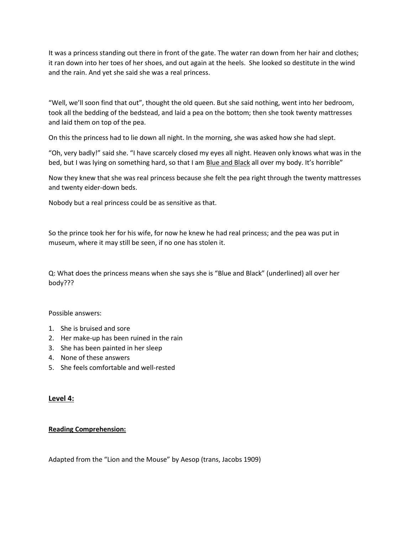It was a princess standing out there in front of the gate. The water ran down from her hair and clothes; it ran down into her toes of her shoes, and out again at the heels. She looked so destitute in the wind and the rain. And yet she said she was a real princess.

"Well, we'll soon find that out", thought the old queen. But she said nothing, went into her bedroom, took all the bedding of the bedstead, and laid a pea on the bottom; then she took twenty mattresses and laid them on top of the pea.

On this the princess had to lie down all night. In the morning, she was asked how she had slept.

"Oh, very badly!" said she. "I have scarcely closed my eyes all night. Heaven only knows what was in the bed, but I was lying on something hard, so that I am Blue and Black all over my body. It's horrible"

Now they knew that she was real princess because she felt the pea right through the twenty mattresses and twenty eider-down beds.

Nobody but a real princess could be as sensitive as that.

So the prince took her for his wife, for now he knew he had real princess; and the pea was put in museum, where it may still be seen, if no one has stolen it.

Q: What does the princess means when she says she is "Blue and Black" (underlined) all over her body???

Possible answers:

- 1. She is bruised and sore
- 2. Her make-up has been ruined in the rain
- 3. She has been painted in her sleep
- 4. None of these answers
- 5. She feels comfortable and well-rested

#### **Level 4:**

#### **Reading Comprehension:**

Adapted from the "Lion and the Mouse" by Aesop (trans, Jacobs 1909)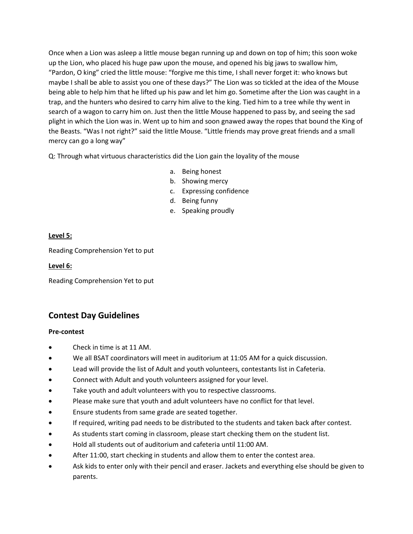Once when a Lion was asleep a little mouse began running up and down on top of him; this soon woke up the Lion, who placed his huge paw upon the mouse, and opened his big jaws to swallow him, "Pardon, O king" cried the little mouse: "forgive me this time, I shall never forget it: who knows but maybe I shall be able to assist you one of these days?" The Lion was so tickled at the idea of the Mouse being able to help him that he lifted up his paw and let him go. Sometime after the Lion was caught in a trap, and the hunters who desired to carry him alive to the king. Tied him to a tree while thy went in search of a wagon to carry him on. Just then the little Mouse happened to pass by, and seeing the sad plight in which the Lion was in. Went up to him and soon gnawed away the ropes that bound the King of the Beasts. "Was I not right?" said the little Mouse. "Little friends may prove great friends and a small mercy can go a long way"

Q: Through what virtuous characteristics did the Lion gain the loyality of the mouse

- a. Being honest
- b. Showing mercy
- c. Expressing confidence
- d. Being funny
- e. Speaking proudly

#### **Level 5:**

Reading Comprehension Yet to put

#### **Level 6:**

Reading Comprehension Yet to put

# **Contest Day Guidelines**

#### **Pre-contest**

- Check in time is at 11 AM.
- We all BSAT coordinators will meet in auditorium at 11:05 AM for a quick discussion.
- Lead will provide the list of Adult and youth volunteers, contestants list in Cafeteria.
- Connect with Adult and youth volunteers assigned for your level.
- Take youth and adult volunteers with you to respective classrooms.
- Please make sure that youth and adult volunteers have no conflict for that level.
- Ensure students from same grade are seated together.
- If required, writing pad needs to be distributed to the students and taken back after contest.
- As students start coming in classroom, please start checking them on the student list.
- Hold all students out of auditorium and cafeteria until 11:00 AM.
- After 11:00, start checking in students and allow them to enter the contest area.
- Ask kids to enter only with their pencil and eraser. Jackets and everything else should be given to parents.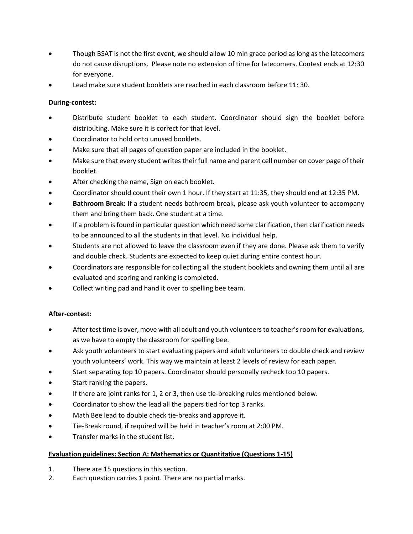- Though BSAT is not the first event, we should allow 10 min grace period as long as the latecomers do not cause disruptions. Please note no extension of time for latecomers. Contest ends at 12:30 for everyone.
- Lead make sure student booklets are reached in each classroom before 11: 30.

## **During-contest:**

- Distribute student booklet to each student. Coordinator should sign the booklet before distributing. Make sure it is correct for that level.
- Coordinator to hold onto unused booklets.
- Make sure that all pages of question paper are included in the booklet.
- Make sure that every student writes their full name and parent cell number on cover page of their booklet.
- After checking the name, Sign on each booklet.
- Coordinator should count their own 1 hour. If they start at 11:35, they should end at 12:35 PM.
- **Bathroom Break:** If a student needs bathroom break, please ask youth volunteer to accompany them and bring them back. One student at a time.
- If a problem is found in particular question which need some clarification, then clarification needs to be announced to all the students in that level. No individual help.
- Students are not allowed to leave the classroom even if they are done. Please ask them to verify and double check. Students are expected to keep quiet during entire contest hour.
- Coordinators are responsible for collecting all the student booklets and owning them until all are evaluated and scoring and ranking is completed.
- Collect writing pad and hand it over to spelling bee team.

## **After-contest:**

- After test time is over, move with all adult and youth volunteers to teacher's room for evaluations, as we have to empty the classroom for spelling bee.
- Ask youth volunteers to start evaluating papers and adult volunteers to double check and review youth volunteers' work. This way we maintain at least 2 levels of review for each paper.
- Start separating top 10 papers. Coordinator should personally recheck top 10 papers.
- Start ranking the papers.
- If there are joint ranks for 1, 2 or 3, then use tie-breaking rules mentioned below.
- Coordinator to show the lead all the papers tied for top 3 ranks.
- Math Bee lead to double check tie-breaks and approve it.
- Tie-Break round, if required will be held in teacher's room at 2:00 PM.
- Transfer marks in the student list.

## **Evaluation guidelines: Section A: Mathematics or Quantitative (Questions 1-15)**

- 1. There are 15 questions in this section.
- 2. Each question carries 1 point. There are no partial marks.